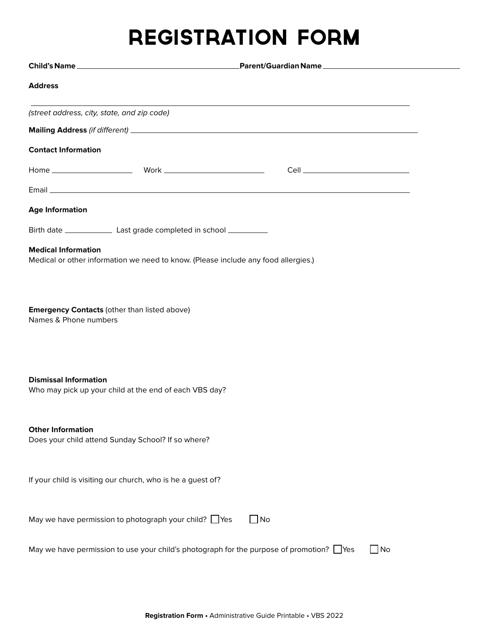## REGISTRATION FORM

| <b>Address</b>                                                                                                   |                |
|------------------------------------------------------------------------------------------------------------------|----------------|
| (street address, city, state, and zip code)                                                                      |                |
|                                                                                                                  |                |
| <b>Contact Information</b>                                                                                       |                |
|                                                                                                                  |                |
|                                                                                                                  |                |
| <b>Age Information</b>                                                                                           |                |
|                                                                                                                  |                |
| <b>Medical Information</b><br>Medical or other information we need to know. (Please include any food allergies.) |                |
| <b>Emergency Contacts (other than listed above)</b><br>Names & Phone numbers                                     |                |
| <b>Dismissal Information</b><br>Who may pick up your child at the end of each VBS day?                           |                |
| <b>Other Information</b><br>Does your child attend Sunday School? If so where?                                   |                |
| If your child is visiting our church, who is he a guest of?                                                      |                |
| May we have permission to photograph your child? $\Box$ Yes                                                      | $\Box$ No      |
| May we have permission to use your child's photograph for the purpose of promotion? $\Box$ Yes                   | $\bigsqcup$ No |